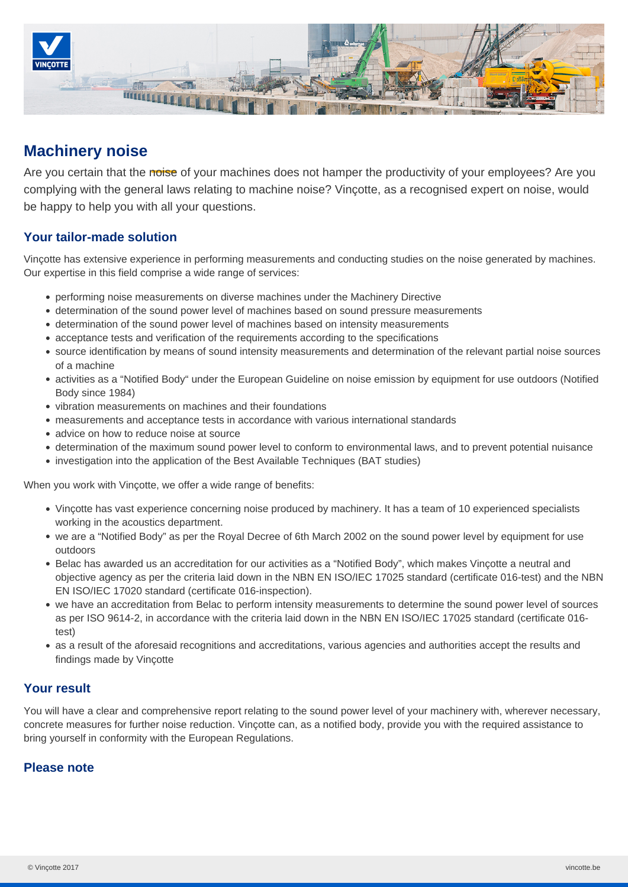

# **Machinery noise**

Are you certain that the noise of your machines does not hamper the productivity of your employees? Are you complying with the general laws relating to machine noise? Vinçotte, as a recognised expert on noise, would be happy to help you with all your questions.

#### **Your tailor-made solution**

Vinçotte has extensive experience in performing measurements and conducting studies on the noise generated by machines. Our expertise in this field comprise a wide range of services:

- performing noise measurements on diverse machines under the Machinery Directive
- determination of the sound power level of machines based on sound pressure measurements
- determination of the sound power level of machines based on intensity measurements
- acceptance tests and verification of the requirements according to the specifications
- source identification by means of sound intensity measurements and determination of the relevant partial noise sources of a machine
- activities as a "Notified Body" under the European Guideline on noise emission by equipment for use outdoors (Notified Body since 1984)
- vibration measurements on machines and their foundations
- measurements and acceptance tests in accordance with various international standards
- advice on how to reduce noise at source
- determination of the maximum sound power level to conform to environmental laws, and to prevent potential nuisance
- investigation into the application of the Best Available Techniques (BAT studies)

When you work with Vinçotte, we offer a wide range of benefits:

- Vinçotte has vast experience concerning noise produced by machinery. It has a team of 10 experienced specialists working in the acoustics department.
- we are a "Notified Body" as per the Royal Decree of 6th March 2002 on the sound power level by equipment for use outdoors
- Belac has awarded us an accreditation for our activities as a "Notified Body", which makes Vinçotte a neutral and objective agency as per the criteria laid down in the NBN EN ISO/IEC 17025 standard (certificate 016-test) and the NBN EN ISO/IEC 17020 standard (certificate 016-inspection).
- we have an accreditation from Belac to perform intensity measurements to determine the sound power level of sources as per ISO 9614-2, in accordance with the criteria laid down in the NBN EN ISO/IEC 17025 standard (certificate 016 test)
- as a result of the aforesaid recognitions and accreditations, various agencies and authorities accept the results and findings made by Vinçotte

## **Your result**

You will have a clear and comprehensive report relating to the sound power level of your machinery with, wherever necessary, concrete measures for further noise reduction. Vinçotte can, as a notified body, provide you with the required assistance to bring yourself in conformity with the European Regulations.

## **Please note**